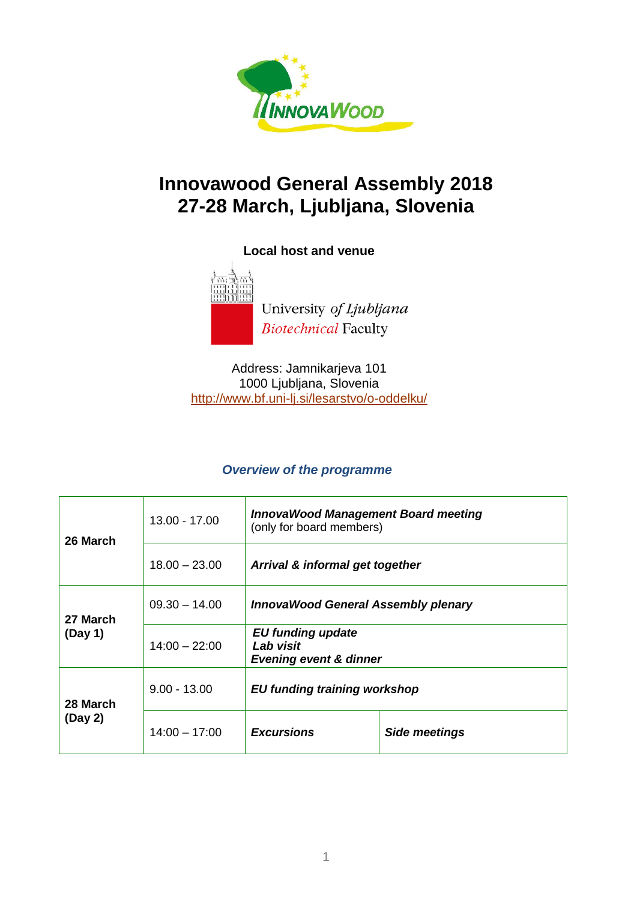

# **Innovawood General Assembly 2018 27-28 March, Ljubljana, Slovenia**

**Local host and venue**



University of Ljubljana **Biotechnical Faculty** 

Address: Jamnikarjeva 101 1000 Ljubljana, Slovenia <http://www.bf.uni-lj.si/lesarstvo/o-oddelku/>

#### *Overview of the programme*

| 26 March            | $13.00 - 17.00$ | <b>InnovaWood Management Board meeting</b><br>(only for board members)     |                      |
|---------------------|-----------------|----------------------------------------------------------------------------|----------------------|
|                     | $18.00 - 23.00$ | Arrival & informal get together                                            |                      |
| 27 March<br>(Day 1) | $09.30 - 14.00$ | <b>InnovaWood General Assembly plenary</b>                                 |                      |
|                     | $14:00 - 22:00$ | <b>EU funding update</b><br>Lab visit<br><b>Evening event &amp; dinner</b> |                      |
| 28 March<br>(Day 2) | $9.00 - 13.00$  | <b>EU funding training workshop</b>                                        |                      |
|                     | $14:00 - 17:00$ | <b>Excursions</b>                                                          | <b>Side meetings</b> |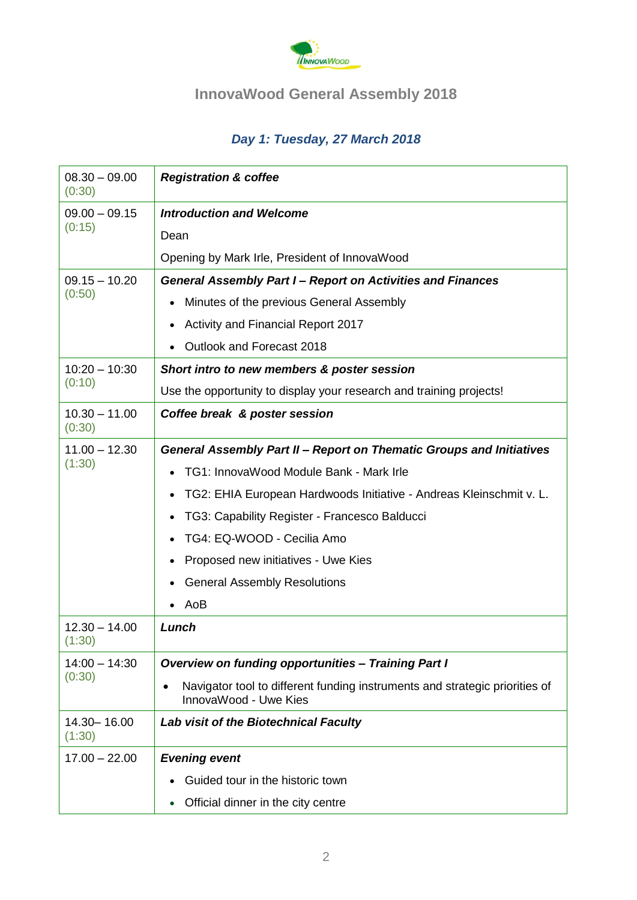

## **InnovaWood General Assembly 2018**

## *Day 1: Tuesday, 27 March 2018*

| $08.30 - 09.00$<br>(0:30) | <b>Registration &amp; coffee</b>                                                                     |  |  |  |
|---------------------------|------------------------------------------------------------------------------------------------------|--|--|--|
| $09.00 - 09.15$<br>(0:15) | <b>Introduction and Welcome</b>                                                                      |  |  |  |
|                           | Dean                                                                                                 |  |  |  |
|                           | Opening by Mark Irle, President of InnovaWood                                                        |  |  |  |
| $09.15 - 10.20$<br>(0:50) | <b>General Assembly Part I- Report on Activities and Finances</b>                                    |  |  |  |
|                           | Minutes of the previous General Assembly<br>$\bullet$                                                |  |  |  |
|                           | Activity and Financial Report 2017                                                                   |  |  |  |
|                           | Outlook and Forecast 2018                                                                            |  |  |  |
| $10:20 - 10:30$<br>(0:10) | Short intro to new members & poster session                                                          |  |  |  |
|                           | Use the opportunity to display your research and training projects!                                  |  |  |  |
| $10.30 - 11.00$<br>(0:30) | Coffee break & poster session                                                                        |  |  |  |
| $11.00 - 12.30$           | General Assembly Part II - Report on Thematic Groups and Initiatives                                 |  |  |  |
| (1:30)                    | TG1: InnovaWood Module Bank - Mark Irle                                                              |  |  |  |
|                           | TG2: EHIA European Hardwoods Initiative - Andreas Kleinschmit v. L.                                  |  |  |  |
|                           | TG3: Capability Register - Francesco Balducci<br>$\bullet$                                           |  |  |  |
|                           | TG4: EQ-WOOD - Cecilia Amo                                                                           |  |  |  |
|                           | Proposed new initiatives - Uwe Kies<br>٠                                                             |  |  |  |
|                           | <b>General Assembly Resolutions</b>                                                                  |  |  |  |
|                           | AoB                                                                                                  |  |  |  |
| $12.30 - 14.00$<br>(1:30) | Lunch                                                                                                |  |  |  |
| $14:00 - 14:30$<br>(0:30) | <b>Overview on funding opportunities - Training Part I</b>                                           |  |  |  |
|                           | Navigator tool to different funding instruments and strategic priorities of<br>InnovaWood - Uwe Kies |  |  |  |
| 14.30 - 16.00<br>(1:30)   | <b>Lab visit of the Biotechnical Faculty</b>                                                         |  |  |  |
| $17.00 - 22.00$           | <b>Evening event</b>                                                                                 |  |  |  |
|                           | Guided tour in the historic town                                                                     |  |  |  |
|                           | Official dinner in the city centre<br>$\bullet$                                                      |  |  |  |